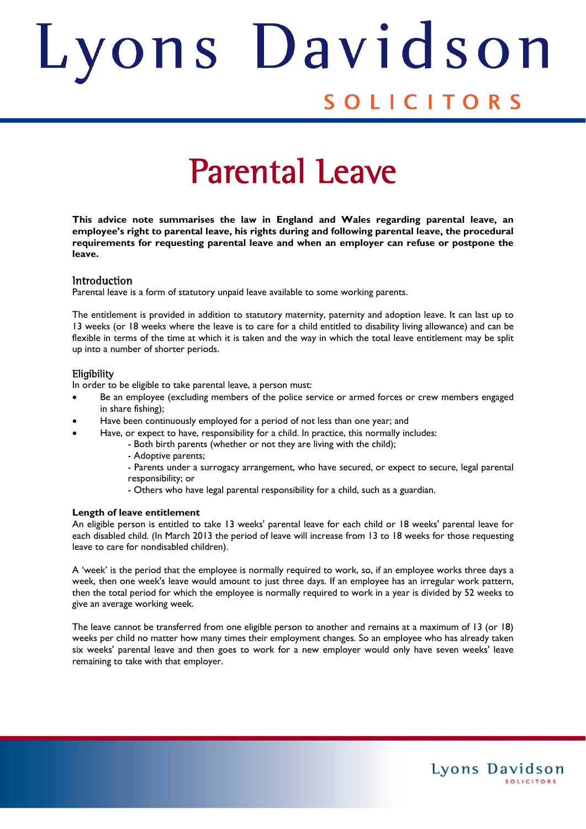## ons Davids Judith SOLICITORS

# Parental Leave

**This advice note summarises the law in England and Wales regarding parental leave, an employee's right to parental leave, his rights during and following parental leave, the procedural requirements for requesting parental leave and when an employer can refuse or postpone the leave.** 

#### **Introduction**

Parental leave is a form of statutory unpaid leave available to some working parents.

The entitlement is provided in addition to statutory maternity, paternity and adoption leave. It can last up to 13 weeks (or 18 weeks where the leave is to care for a child entitled to disability living allowance) and can be flexible in terms of the time at which it is taken and the way in which the total leave entitlement may be split up into a number of shorter periods.

#### **Eligibility**

In order to be eligible to take parental leave, a person must:

- Be an employee (excluding members of the police service or armed forces or crew members engaged in share fishing);
- Have been continuously employed for a period of not less than one year; and
- Have, or expect to have, responsibility for a child. In practice, this normally includes:
	- Both birth parents (whether or not they are living with the child);
		- Adoptive parents;

 - Parents under a surrogacy arrangement, who have secured, or expect to secure, legal parental responsibility; or

- Others who have legal parental responsibility for a child, such as a guardian.

#### **Length of leave entitlement**

An eligible person is entitled to take 13 weeks' parental leave for each child or 18 weeks' parental leave for each disabled child. (In March 2013 the period of leave will increase from 13 to 18 weeks for those requesting leave to care for nondisabled children).

A 'week' is the period that the employee is normally required to work, so, if an employee works three days a week, then one week's leave would amount to just three days. If an employee has an irregular work pattern, then the total period for which the employee is normally required to work in a year is divided by 52 weeks to give an average working week.

The leave cannot be transferred from one eligible person to another and remains at a maximum of 13 (or 18) weeks per child no matter how many times their employment changes. So an employee who has already taken six weeks' parental leave and then goes to work for a new employer would only have seven weeks' leave remaining to take with that employer.

Lyons Davidson

**SOLICITORS**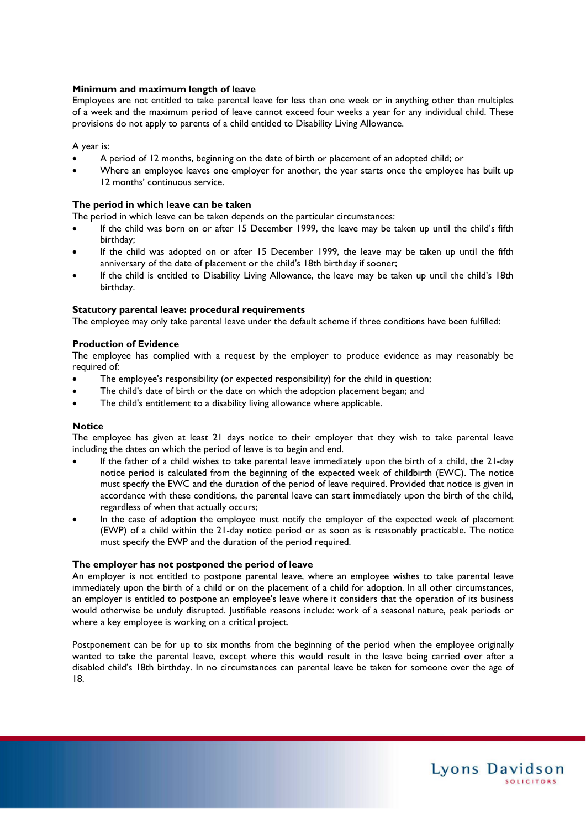#### **Minimum and maximum length of leave**

Employees are not entitled to take parental leave for less than one week or in anything other than multiples of a week and the maximum period of leave cannot exceed four weeks a year for any individual child. These provisions do not apply to parents of a child entitled to Disability Living Allowance.

#### A year is:

- A period of 12 months, beginning on the date of birth or placement of an adopted child; or
- Where an employee leaves one employer for another, the year starts once the employee has built up 12 months' continuous service.

#### **The period in which leave can be taken**

The period in which leave can be taken depends on the particular circumstances:

- If the child was born on or after 15 December 1999, the leave may be taken up until the child's fifth birthday;
- If the child was adopted on or after 15 December 1999, the leave may be taken up until the fifth anniversary of the date of placement or the child's 18th birthday if sooner;
- If the child is entitled to Disability Living Allowance, the leave may be taken up until the child's 18th birthday.

#### **Statutory parental leave: procedural requirements**

The employee may only take parental leave under the default scheme if three conditions have been fulfilled:

#### **Production of Evidence**

The employee has complied with a request by the employer to produce evidence as may reasonably be required of:

- The employee's responsibility (or expected responsibility) for the child in question;
- The child's date of birth or the date on which the adoption placement began; and
- The child's entitlement to a disability living allowance where applicable.

#### **Notice**

The employee has given at least 21 days notice to their employer that they wish to take parental leave including the dates on which the period of leave is to begin and end.

- If the father of a child wishes to take parental leave immediately upon the birth of a child, the 21-day notice period is calculated from the beginning of the expected week of childbirth (EWC). The notice must specify the EWC and the duration of the period of leave required. Provided that notice is given in accordance with these conditions, the parental leave can start immediately upon the birth of the child, regardless of when that actually occurs;
- In the case of adoption the employee must notify the employer of the expected week of placement (EWP) of a child within the 21-day notice period or as soon as is reasonably practicable. The notice must specify the EWP and the duration of the period required.

#### **The employer has not postponed the period of leave**

An employer is not entitled to postpone parental leave, where an employee wishes to take parental leave immediately upon the birth of a child or on the placement of a child for adoption. In all other circumstances, an employer is entitled to postpone an employee's leave where it considers that the operation of its business would otherwise be unduly disrupted. Justifiable reasons include: work of a seasonal nature, peak periods or where a key employee is working on a critical project.

Postponement can be for up to six months from the beginning of the period when the employee originally wanted to take the parental leave, except where this would result in the leave being carried over after a disabled child's 18th birthday. In no circumstances can parental leave be taken for someone over the age of 18.

Lyons Davidson

**SOLICITORS**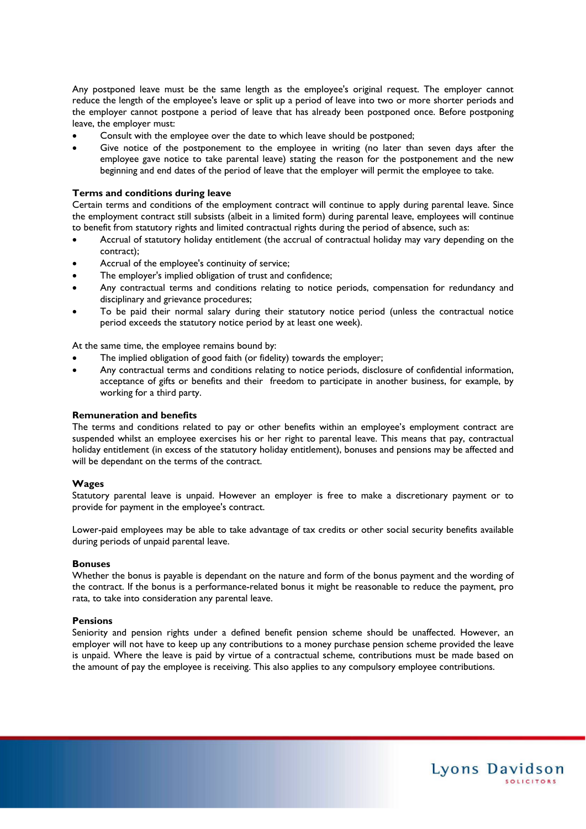Any postponed leave must be the same length as the employee's original request. The employer cannot reduce the length of the employee's leave or split up a period of leave into two or more shorter periods and the employer cannot postpone a period of leave that has already been postponed once. Before postponing leave, the employer must:

- Consult with the employee over the date to which leave should be postponed;
- Give notice of the postponement to the employee in writing (no later than seven days after the employee gave notice to take parental leave) stating the reason for the postponement and the new beginning and end dates of the period of leave that the employer will permit the employee to take.

#### **Terms and conditions during leave**

Certain terms and conditions of the employment contract will continue to apply during parental leave. Since the employment contract still subsists (albeit in a limited form) during parental leave, employees will continue to benefit from statutory rights and limited contractual rights during the period of absence, such as:

- Accrual of statutory holiday entitlement (the accrual of contractual holiday may vary depending on the contract);
- Accrual of the employee's continuity of service;
- The employer's implied obligation of trust and confidence;
- Any contractual terms and conditions relating to notice periods, compensation for redundancy and disciplinary and grievance procedures;
- To be paid their normal salary during their statutory notice period (unless the contractual notice period exceeds the statutory notice period by at least one week).

At the same time, the employee remains bound by:

- The implied obligation of good faith (or fidelity) towards the employer;
- Any contractual terms and conditions relating to notice periods, disclosure of confidential information, acceptance of gifts or benefits and their freedom to participate in another business, for example, by working for a third party.

#### **Remuneration and benefits**

The terms and conditions related to pay or other benefits within an employee's employment contract are suspended whilst an employee exercises his or her right to parental leave. This means that pay, contractual holiday entitlement (in excess of the statutory holiday entitlement), bonuses and pensions may be affected and will be dependant on the terms of the contract.

#### **Wages**

Statutory parental leave is unpaid. However an employer is free to make a discretionary payment or to provide for payment in the employee's contract.

Lower-paid employees may be able to take advantage of tax credits or other social security benefits available during periods of unpaid parental leave.

#### **Bonuses**

Whether the bonus is payable is dependant on the nature and form of the bonus payment and the wording of the contract. If the bonus is a performance-related bonus it might be reasonable to reduce the payment, pro rata, to take into consideration any parental leave.

#### **Pensions**

Seniority and pension rights under a defined benefit pension scheme should be unaffected. However, an employer will not have to keep up any contributions to a money purchase pension scheme provided the leave is unpaid. Where the leave is paid by virtue of a contractual scheme, contributions must be made based on the amount of pay the employee is receiving. This also applies to any compulsory employee contributions.

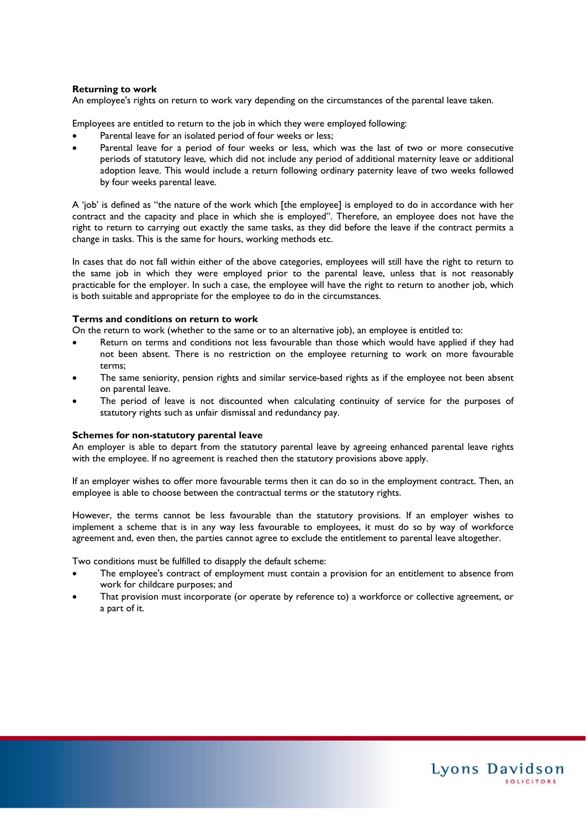#### **Returning to work**

An employee's rights on return to work vary depending on the circumstances of the parental leave taken.

Employees are entitled to return to the job in which they were employed following:

- Parental leave for an isolated period of four weeks or less;
- Parental leave for a period of four weeks or less, which was the last of two or more consecutive periods of statutory leave, which did not include any period of additional maternity leave or additional adoption leave. This would include a return following ordinary paternity leave of two weeks followed by four weeks parental leave.

A 'job' is defined as "the nature of the work which [the employee] is employed to do in accordance with her contract and the capacity and place in which she is employed". Therefore, an employee does not have the right to return to carrying out exactly the same tasks, as they did before the leave if the contract permits a change in tasks. This is the same for hours, working methods etc.

In cases that do not fall within either of the above categories, employees will still have the right to return to the same job in which they were employed prior to the parental leave, unless that is not reasonably practicable for the employer. In such a case, the employee will have the right to return to another job, which is both suitable and appropriate for the employee to do in the circumstances.

#### **Terms and conditions on return to work**

On the return to work (whether to the same or to an alternative job), an employee is entitled to:

- Return on terms and conditions not less favourable than those which would have applied if they had not been absent. There is no restriction on the employee returning to work on more favourable terms;
- The same seniority, pension rights and similar service-based rights as if the employee not been absent on parental leave.
- The period of leave is not discounted when calculating continuity of service for the purposes of statutory rights such as unfair dismissal and redundancy pay.

#### **Schemes for non-statutory parental leave**

An employer is able to depart from the statutory parental leave by agreeing enhanced parental leave rights with the employee. If no agreement is reached then the statutory provisions above apply.

If an employer wishes to offer more favourable terms then it can do so in the employment contract. Then, an employee is able to choose between the contractual terms or the statutory rights.

However, the terms cannot be less favourable than the statutory provisions. If an employer wishes to implement a scheme that is in any way less favourable to employees, it must do so by way of workforce agreement and, even then, the parties cannot agree to exclude the entitlement to parental leave altogether.

Two conditions must be fulfilled to disapply the default scheme:

- The employee's contract of employment must contain a provision for an entitlement to absence from work for childcare purposes; and
- That provision must incorporate (or operate by reference to) a workforce or collective agreement, or a part of it.